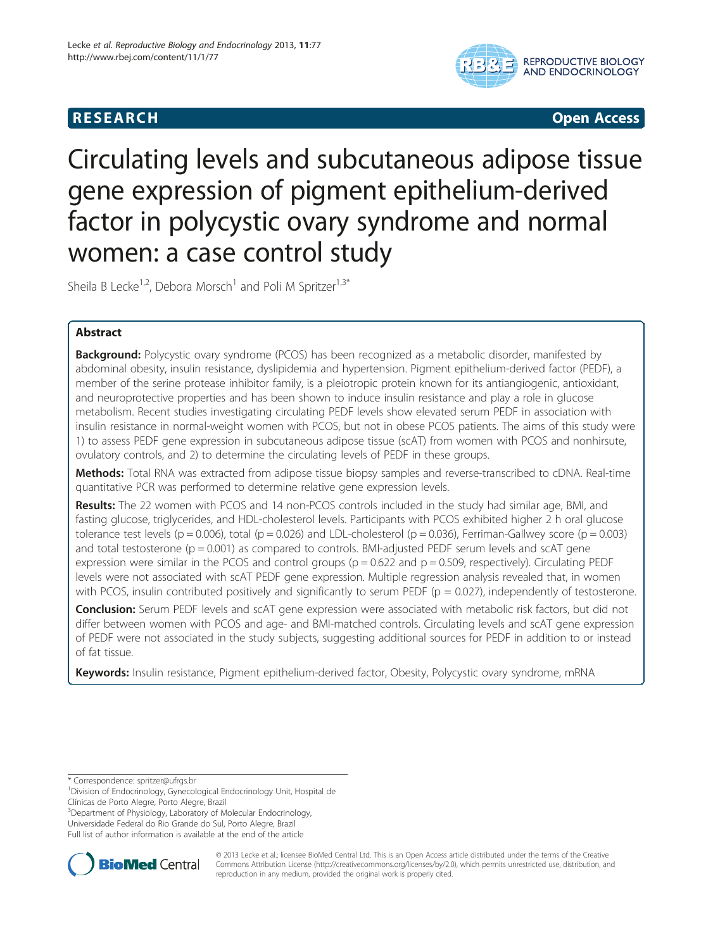# **RESEARCH CHILD CONTROL** CONTROL CONTROL CONTROL CONTROL CONTROL CONTROL CONTROL CONTROL CONTROL CONTROL CONTROL CONTROL CONTROL CONTROL CONTROL CONTROL CONTROL CONTROL CONTROL CONTROL CONTROL CONTROL CONTROL CONTROL CONTR



# Circulating levels and subcutaneous adipose tissue gene expression of pigment epithelium-derived factor in polycystic ovary syndrome and normal women: a case control study

Sheila B Lecke<sup>1,2</sup>, Debora Morsch<sup>1</sup> and Poli M Spritzer<sup>1,3\*</sup>

# Abstract

**Background:** Polycystic ovary syndrome (PCOS) has been recognized as a metabolic disorder, manifested by abdominal obesity, insulin resistance, dyslipidemia and hypertension. Pigment epithelium-derived factor (PEDF), a member of the serine protease inhibitor family, is a pleiotropic protein known for its antiangiogenic, antioxidant, and neuroprotective properties and has been shown to induce insulin resistance and play a role in glucose metabolism. Recent studies investigating circulating PEDF levels show elevated serum PEDF in association with insulin resistance in normal-weight women with PCOS, but not in obese PCOS patients. The aims of this study were 1) to assess PEDF gene expression in subcutaneous adipose tissue (scAT) from women with PCOS and nonhirsute, ovulatory controls, and 2) to determine the circulating levels of PEDF in these groups.

Methods: Total RNA was extracted from adipose tissue biopsy samples and reverse-transcribed to cDNA. Real-time quantitative PCR was performed to determine relative gene expression levels.

Results: The 22 women with PCOS and 14 non-PCOS controls included in the study had similar age, BMI, and fasting glucose, triglycerides, and HDL-cholesterol levels. Participants with PCOS exhibited higher 2 h oral glucose tolerance test levels ( $p = 0.006$ ), total ( $p = 0.026$ ) and LDL-cholesterol ( $p = 0.036$ ), Ferriman-Gallwey score ( $p = 0.003$ ) and total testosterone ( $p = 0.001$ ) as compared to controls. BMI-adjusted PEDF serum levels and scAT gene expression were similar in the PCOS and control groups ( $p = 0.622$  and  $p = 0.509$ , respectively). Circulating PEDF levels were not associated with scAT PEDF gene expression. Multiple regression analysis revealed that, in women with PCOS, insulin contributed positively and significantly to serum PEDF ( $p = 0.027$ ), independently of testosterone.

Conclusion: Serum PEDF levels and scAT gene expression were associated with metabolic risk factors, but did not differ between women with PCOS and age- and BMI-matched controls. Circulating levels and scAT gene expression of PEDF were not associated in the study subjects, suggesting additional sources for PEDF in addition to or instead of fat tissue.

Keywords: Insulin resistance, Pigment epithelium-derived factor, Obesity, Polycystic ovary syndrome, mRNA

\* Correspondence: [spritzer@ufrgs.br](mailto:spritzer@ufrgs.br) <sup>1</sup>

<sup>1</sup> Division of Endocrinology, Gynecological Endocrinology Unit, Hospital de Clínicas de Porto Alegre, Porto Alegre, Brazil

3 Department of Physiology, Laboratory of Molecular Endocrinology, Universidade Federal do Rio Grande do Sul, Porto Alegre, Brazil

Full list of author information is available at the end of the article



© 2013 Lecke et al.; licensee BioMed Central Ltd. This is an Open Access article distributed under the terms of the Creative Commons Attribution License [\(http://creativecommons.org/licenses/by/2.0\)](http://creativecommons.org/licenses/by/2.0), which permits unrestricted use, distribution, and reproduction in any medium, provided the original work is properly cited.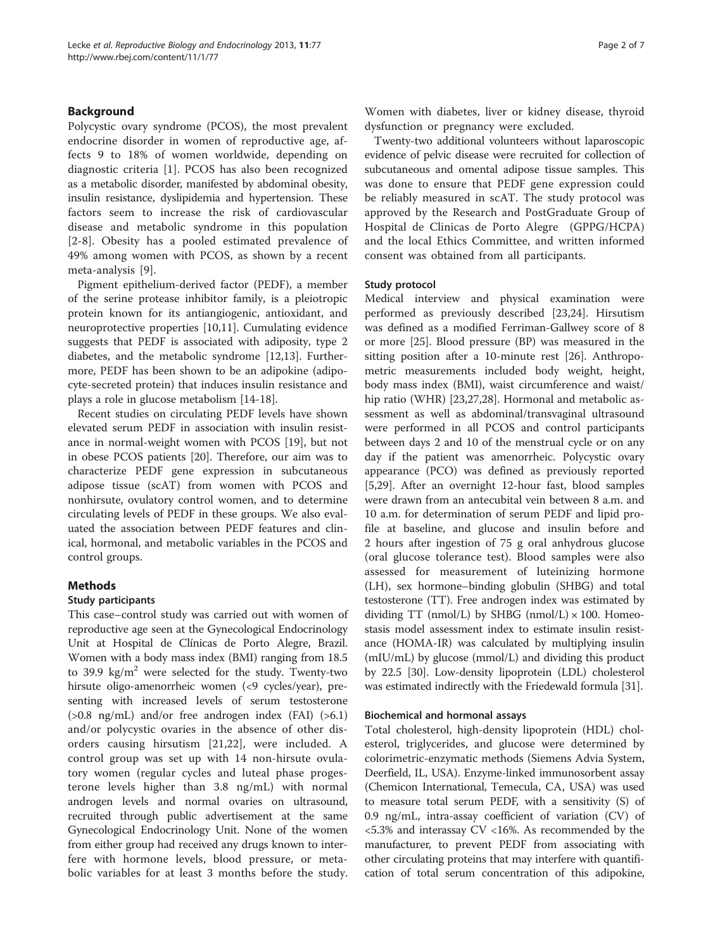# Background

Polycystic ovary syndrome (PCOS), the most prevalent endocrine disorder in women of reproductive age, affects 9 to 18% of women worldwide, depending on diagnostic criteria [[1\]](#page-5-0). PCOS has also been recognized as a metabolic disorder, manifested by abdominal obesity, insulin resistance, dyslipidemia and hypertension. These factors seem to increase the risk of cardiovascular disease and metabolic syndrome in this population [[2-](#page-5-0)[8\]](#page-6-0). Obesity has a pooled estimated prevalence of 49% among women with PCOS, as shown by a recent meta-analysis [[9](#page-6-0)].

Pigment epithelium-derived factor (PEDF), a member of the serine protease inhibitor family, is a pleiotropic protein known for its antiangiogenic, antioxidant, and neuroprotective properties [[10,11\]](#page-6-0). Cumulating evidence suggests that PEDF is associated with adiposity, type 2 diabetes, and the metabolic syndrome [\[12,13\]](#page-6-0). Furthermore, PEDF has been shown to be an adipokine (adipocyte-secreted protein) that induces insulin resistance and plays a role in glucose metabolism [[14-18\]](#page-6-0).

Recent studies on circulating PEDF levels have shown elevated serum PEDF in association with insulin resistance in normal-weight women with PCOS [[19\]](#page-6-0), but not in obese PCOS patients [\[20](#page-6-0)]. Therefore, our aim was to characterize PEDF gene expression in subcutaneous adipose tissue (scAT) from women with PCOS and nonhirsute, ovulatory control women, and to determine circulating levels of PEDF in these groups. We also evaluated the association between PEDF features and clinical, hormonal, and metabolic variables in the PCOS and control groups.

# Methods

# Study participants

This case–control study was carried out with women of reproductive age seen at the Gynecological Endocrinology Unit at Hospital de Clínicas de Porto Alegre, Brazil. Women with a body mass index (BMI) ranging from 18.5 to 39.9  $\text{kg/m}^2$  were selected for the study. Twenty-two hirsute oligo-amenorrheic women (<9 cycles/year), presenting with increased levels of serum testosterone  $(>0.8$  ng/mL) and/or free androgen index (FAI)  $(>6.1)$ and/or polycystic ovaries in the absence of other disorders causing hirsutism [\[21](#page-6-0),[22\]](#page-6-0), were included. A control group was set up with 14 non-hirsute ovulatory women (regular cycles and luteal phase progesterone levels higher than 3.8 ng/mL) with normal androgen levels and normal ovaries on ultrasound, recruited through public advertisement at the same Gynecological Endocrinology Unit. None of the women from either group had received any drugs known to interfere with hormone levels, blood pressure, or metabolic variables for at least 3 months before the study.

Women with diabetes, liver or kidney disease, thyroid dysfunction or pregnancy were excluded.

Twenty-two additional volunteers without laparoscopic evidence of pelvic disease were recruited for collection of subcutaneous and omental adipose tissue samples. This was done to ensure that PEDF gene expression could be reliably measured in scAT. The study protocol was approved by the Research and PostGraduate Group of Hospital de Clinicas de Porto Alegre (GPPG/HCPA) and the local Ethics Committee, and written informed consent was obtained from all participants.

# Study protocol

Medical interview and physical examination were performed as previously described [[23](#page-6-0),[24](#page-6-0)]. Hirsutism was defined as a modified Ferriman-Gallwey score of 8 or more [[25](#page-6-0)]. Blood pressure (BP) was measured in the sitting position after a 10-minute rest [\[26\]](#page-6-0). Anthropometric measurements included body weight, height, body mass index (BMI), waist circumference and waist/ hip ratio (WHR) [[23,27](#page-6-0),[28](#page-6-0)]. Hormonal and metabolic assessment as well as abdominal/transvaginal ultrasound were performed in all PCOS and control participants between days 2 and 10 of the menstrual cycle or on any day if the patient was amenorrheic. Polycystic ovary appearance (PCO) was defined as previously reported [[5,29\]](#page-6-0). After an overnight 12-hour fast, blood samples were drawn from an antecubital vein between 8 a.m. and 10 a.m. for determination of serum PEDF and lipid profile at baseline, and glucose and insulin before and 2 hours after ingestion of 75 g oral anhydrous glucose (oral glucose tolerance test). Blood samples were also assessed for measurement of luteinizing hormone (LH), sex hormone–binding globulin (SHBG) and total testosterone (TT). Free androgen index was estimated by dividing  $TT$  (nmol/L) by SHBG (nmol/L)  $\times$  100. Homeostasis model assessment index to estimate insulin resistance (HOMA-IR) was calculated by multiplying insulin (mIU/mL) by glucose (mmol/L) and dividing this product by 22.5 [\[30](#page-6-0)]. Low-density lipoprotein (LDL) cholesterol was estimated indirectly with the Friedewald formula [\[31\]](#page-6-0).

# Biochemical and hormonal assays

Total cholesterol, high-density lipoprotein (HDL) cholesterol, triglycerides, and glucose were determined by colorimetric-enzymatic methods (Siemens Advia System, Deerfield, IL, USA). Enzyme-linked immunosorbent assay (Chemicon International, Temecula, CA, USA) was used to measure total serum PEDF, with a sensitivity (S) of 0.9 ng/mL, intra-assay coefficient of variation (CV) of <5.3% and interassay CV <16%. As recommended by the manufacturer, to prevent PEDF from associating with other circulating proteins that may interfere with quantification of total serum concentration of this adipokine,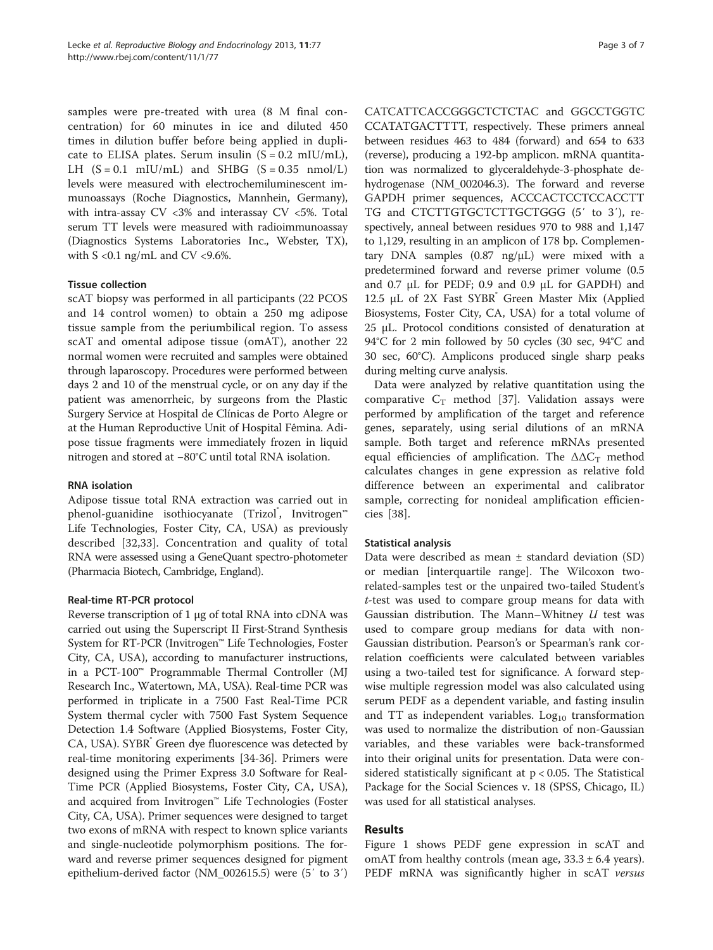samples were pre-treated with urea (8 M final concentration) for 60 minutes in ice and diluted 450 times in dilution buffer before being applied in duplicate to ELISA plates. Serum insulin  $(S = 0.2 \text{ mIU/mL})$ , LH  $(S = 0.1 \text{ mIU/mL})$  and SHBG  $(S = 0.35 \text{ nmol/L})$ levels were measured with electrochemiluminescent immunoassays (Roche Diagnostics, Mannhein, Germany), with intra-assay CV <3% and interassay CV <5%. Total serum TT levels were measured with radioimmunoassay (Diagnostics Systems Laboratories Inc., Webster, TX), with  $S \le 0.1$  ng/mL and CV  $\le 9.6\%$ .

# Tissue collection

scAT biopsy was performed in all participants (22 PCOS and 14 control women) to obtain a 250 mg adipose tissue sample from the periumbilical region. To assess scAT and omental adipose tissue (omAT), another 22 normal women were recruited and samples were obtained through laparoscopy. Procedures were performed between days 2 and 10 of the menstrual cycle, or on any day if the patient was amenorrheic, by surgeons from the Plastic Surgery Service at Hospital de Clínicas de Porto Alegre or at the Human Reproductive Unit of Hospital Fêmina. Adipose tissue fragments were immediately frozen in liquid nitrogen and stored at −80°C until total RNA isolation.

# RNA isolation

Adipose tissue total RNA extraction was carried out in phenol-guanidine isothiocyanate (Trizol<sup>®</sup>, Invitrogen™ Life Technologies, Foster City, CA, USA) as previously described [[32,33](#page-6-0)]. Concentration and quality of total RNA were assessed using a GeneQuant spectro-photometer (Pharmacia Biotech, Cambridge, England).

# Real-time RT-PCR protocol

Reverse transcription of 1 μg of total RNA into cDNA was carried out using the Superscript II First-Strand Synthesis System for RT-PCR (Invitrogen™ Life Technologies, Foster City, CA, USA), according to manufacturer instructions, in a PCT-100™ Programmable Thermal Controller (MJ Research Inc., Watertown, MA, USA). Real-time PCR was performed in triplicate in a 7500 Fast Real-Time PCR System thermal cycler with 7500 Fast System Sequence Detection 1.4 Software (Applied Biosystems, Foster City, CA, USA). SYBR Green dye fluorescence was detected by real-time monitoring experiments [\[34](#page-6-0)-[36](#page-6-0)]. Primers were designed using the Primer Express 3.0 Software for Real-Time PCR (Applied Biosystems, Foster City, CA, USA), and acquired from Invitrogen™ Life Technologies (Foster City, CA, USA). Primer sequences were designed to target two exons of mRNA with respect to known splice variants and single-nucleotide polymorphism positions. The forward and reverse primer sequences designed for pigment epithelium-derived factor (NM\_002615.5) were (5′ to 3′)

CATCATTCACCGGGCTCTCTAC and GGCCTGGTC CCATATGACTTTT, respectively. These primers anneal between residues 463 to 484 (forward) and 654 to 633 (reverse), producing a 192-bp amplicon. mRNA quantitation was normalized to glyceraldehyde-3-phosphate dehydrogenase (NM\_002046.3). The forward and reverse GAPDH primer sequences, ACCCACTCCTCCACCTT TG and CTCTTGTGCTCTTGCTGGG (5′ to 3′), respectively, anneal between residues 970 to 988 and 1,147 to 1,129, resulting in an amplicon of 178 bp. Complementary DNA samples  $(0.87 \text{ ng/µL})$  were mixed with a predetermined forward and reverse primer volume (0.5 and 0.7 μL for PEDF; 0.9 and 0.9 μL for GAPDH) and 12.5 μL of 2X Fast SYBR Green Master Mix (Applied Biosystems, Foster City, CA, USA) for a total volume of 25 μL. Protocol conditions consisted of denaturation at 94°C for 2 min followed by 50 cycles (30 sec, 94°C and 30 sec, 60°C). Amplicons produced single sharp peaks during melting curve analysis.

Data were analyzed by relative quantitation using the comparative  $C_T$  method [\[37](#page-6-0)]. Validation assays were performed by amplification of the target and reference genes, separately, using serial dilutions of an mRNA sample. Both target and reference mRNAs presented equal efficiencies of amplification. The  $\Delta \Delta C_T$  method calculates changes in gene expression as relative fold difference between an experimental and calibrator sample, correcting for nonideal amplification efficiencies [\[38](#page-6-0)].

# Statistical analysis

Data were described as mean  $\pm$  standard deviation (SD) or median [interquartile range]. The Wilcoxon tworelated-samples test or the unpaired two-tailed Student's t-test was used to compare group means for data with Gaussian distribution. The Mann–Whitney  $U$  test was used to compare group medians for data with non-Gaussian distribution. Pearson's or Spearman's rank correlation coefficients were calculated between variables using a two-tailed test for significance. A forward stepwise multiple regression model was also calculated using serum PEDF as a dependent variable, and fasting insulin and TT as independent variables. Log<sub>10</sub> transformation was used to normalize the distribution of non-Gaussian variables, and these variables were back-transformed into their original units for presentation. Data were considered statistically significant at p < 0.05. The Statistical Package for the Social Sciences v. 18 (SPSS, Chicago, IL) was used for all statistical analyses.

# Results

Figure [1](#page-3-0) shows PEDF gene expression in scAT and omAT from healthy controls (mean age,  $33.3 \pm 6.4$  years). PEDF mRNA was significantly higher in scAT versus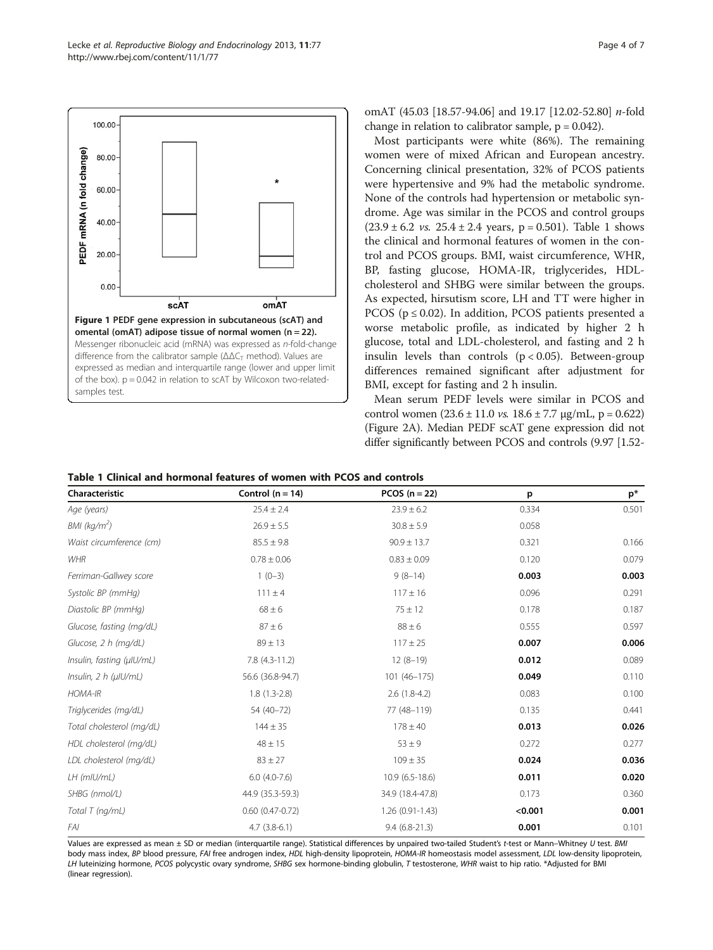<span id="page-3-0"></span>

omAT (45.03 [18.57-94.06] and 19.17 [12.02-52.80] n-fold change in relation to calibrator sample,  $p = 0.042$ ).

Most participants were white (86%). The remaining women were of mixed African and European ancestry. Concerning clinical presentation, 32% of PCOS patients were hypertensive and 9% had the metabolic syndrome. None of the controls had hypertension or metabolic syndrome. Age was similar in the PCOS and control groups  $(23.9 \pm 6.2 \text{ vs. } 25.4 \pm 2.4 \text{ years}, p = 0.501)$ . Table 1 shows the clinical and hormonal features of women in the control and PCOS groups. BMI, waist circumference, WHR, BP, fasting glucose, HOMA-IR, triglycerides, HDLcholesterol and SHBG were similar between the groups. As expected, hirsutism score, LH and TT were higher in PCOS ( $p \le 0.02$ ). In addition, PCOS patients presented a worse metabolic profile, as indicated by higher 2 h glucose, total and LDL-cholesterol, and fasting and 2 h insulin levels than controls  $(p < 0.05)$ . Between-group differences remained significant after adjustment for BMI, except for fasting and 2 h insulin.

Mean serum PEDF levels were similar in PCOS and control women  $(23.6 \pm 11.0 \text{ vs. } 18.6 \pm 7.7 \text{ µg/mL}, p = 0.622)$ (Figure [2](#page-4-0)A). Median PEDF scAT gene expression did not differ significantly between PCOS and controls (9.97 [1.52-

|  |  |  |  | Table 1 Clinical and hormonal features of women with PCOS and controls |  |  |  |  |  |  |  |  |
|--|--|--|--|------------------------------------------------------------------------|--|--|--|--|--|--|--|--|
|--|--|--|--|------------------------------------------------------------------------|--|--|--|--|--|--|--|--|

| Characteristic            | Control $(n = 14)$     | PCOS $(n = 22)$  | p       | $p^*$ |  |
|---------------------------|------------------------|------------------|---------|-------|--|
| Age (years)               | $25.4 \pm 2.4$         | $23.9 \pm 6.2$   | 0.334   | 0.501 |  |
| BMI (kg/m <sup>2</sup> )  | $26.9 \pm 5.5$         | $30.8 \pm 5.9$   | 0.058   |       |  |
| Waist circumference (cm)  | $85.5 \pm 9.8$         | $90.9 \pm 13.7$  | 0.321   | 0.166 |  |
| <b>WHR</b>                | $0.78 \pm 0.06$        | $0.83 \pm 0.09$  | 0.120   | 0.079 |  |
| Ferriman-Gallwey score    | $1(0-3)$               | $9(8-14)$        | 0.003   | 0.003 |  |
| Systolic BP (mmHq)        | $111 \pm 4$            | $117 \pm 16$     | 0.096   | 0.291 |  |
| Diastolic BP (mmHg)       | $68 \pm 6$             | $75 \pm 12$      | 0.178   | 0.187 |  |
| Glucose, fasting (mg/dL)  | $87 \pm 6$             | $88 \pm 6$       | 0.555   | 0.597 |  |
| Glucose, 2 h (mg/dL)      | $89 \pm 13$            | $117 \pm 25$     | 0.007   | 0.006 |  |
| Insulin, fasting (µlU/mL) | $7.8$ $(4.3-11.2)$     | $12(8-19)$       | 0.012   | 0.089 |  |
| Insulin, 2 h (µIU/mL)     | 56.6 (36.8-94.7)       | $101(46 - 175)$  | 0.049   | 0.110 |  |
| <b>HOMA-IR</b>            | $1.8(1.3-2.8)$         | $2.6(1.8-4.2)$   | 0.083   | 0.100 |  |
| Triglycerides (mg/dL)     | 54 (40-72)             | 77 (48-119)      | 0.135   | 0.441 |  |
| Total cholesterol (mg/dL) | $144 \pm 35$           | $178 \pm 40$     | 0.013   | 0.026 |  |
| HDL cholesterol (mg/dL)   | $48 \pm 15$            | $53 \pm 9$       | 0.272   | 0.277 |  |
| LDL cholesterol (mg/dL)   | $83 \pm 27$            | $109 \pm 35$     | 0.024   | 0.036 |  |
| LH (mIU/mL)               | $6.0(4.0-7.6)$         | $10.9(6.5-18.6)$ | 0.011   | 0.020 |  |
| SHBG (nmol/L)             | 44.9 (35.3-59.3)       | 34.9 (18.4-47.8) | 0.173   | 0.360 |  |
| Total T (ng/mL)           | $0.60$ $(0.47 - 0.72)$ | 1.26 (0.91-1.43) | < 0.001 | 0.001 |  |
| FAI                       | $4.7(3.8-6.1)$         | $9.4(6.8-21.3)$  | 0.001   | 0.101 |  |

Values are expressed as mean ± SD or median (interquartile range). Statistical differences by unpaired two-tailed Student's t-test or Mann–Whitney U test. BMI body mass index, BP blood pressure, FAI free androgen index, HDL high-density lipoprotein, HOMA-IR homeostasis model assessment, LDL low-density lipoprotein, LH luteinizing hormone, PCOS polycystic ovary syndrome, SHBG sex hormone-binding globulin, T testosterone, WHR waist to hip ratio. \*Adjusted for BMI (linear regression).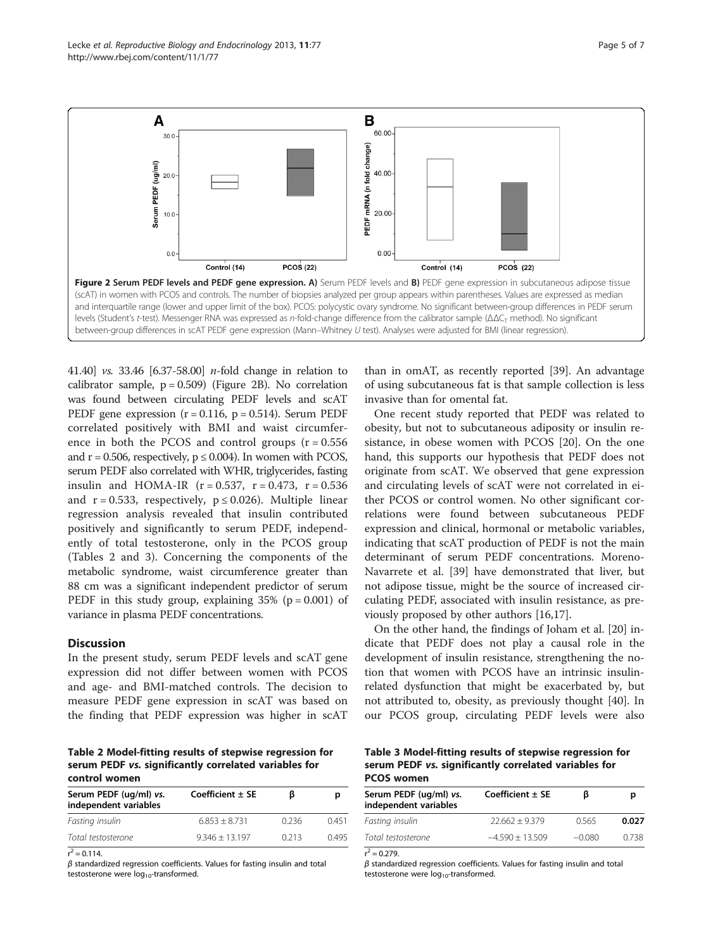41.40] *vs.* 33.46 [6.37-58.00] *n*-fold change in relation to calibrator sample,  $p = 0.509$ ) (Figure 2B). No correlation was found between circulating PEDF levels and scAT PEDF gene expression  $(r = 0.116, p = 0.514)$ . Serum PEDF correlated positively with BMI and waist circumference in both the PCOS and control groups  $(r = 0.556)$ and  $r = 0.506$ , respectively,  $p \le 0.004$ ). In women with PCOS, serum PEDF also correlated with WHR, triglycerides, fasting insulin and HOMA-IR  $(r = 0.537, r = 0.473, r = 0.536)$ and  $r = 0.533$ , respectively,  $p \le 0.026$ ). Multiple linear regression analysis revealed that insulin contributed positively and significantly to serum PEDF, independently of total testosterone, only in the PCOS group (Tables 2 and 3). Concerning the components of the metabolic syndrome, waist circumference greater than 88 cm was a significant independent predictor of serum PEDF in this study group, explaining  $35\%$  (p = 0.001) of variance in plasma PEDF concentrations.

#### **Discussion**

In the present study, serum PEDF levels and scAT gene expression did not differ between women with PCOS and age- and BMI-matched controls. The decision to measure PEDF gene expression in scAT was based on the finding that PEDF expression was higher in scAT

Table 2 Model-fitting results of stepwise regression for serum PEDF vs. significantly correlated variables for control women

| Serum PEDF (ug/ml) vs.<br>independent variables | Coefficient $\pm$ SE | ß     | р<br>0.451<br>0495 |  |
|-------------------------------------------------|----------------------|-------|--------------------|--|
| Fasting insulin                                 | $6.853 + 8.731$      | 0.236 |                    |  |
| Total testosterone                              | $9.346 + 13.197$     | 0.213 |                    |  |
|                                                 |                      |       |                    |  |

 $r^2 = 0.114$ .

 $β$  standardized regression coefficients. Values for fasting insulin and total testosterone were  $log_{10}$ -transformed.

than in omAT, as recently reported [\[39\]](#page-6-0). An advantage of using subcutaneous fat is that sample collection is less invasive than for omental fat.

One recent study reported that PEDF was related to obesity, but not to subcutaneous adiposity or insulin resistance, in obese women with PCOS [\[20\]](#page-6-0). On the one hand, this supports our hypothesis that PEDF does not originate from scAT. We observed that gene expression and circulating levels of scAT were not correlated in either PCOS or control women. No other significant correlations were found between subcutaneous PEDF expression and clinical, hormonal or metabolic variables, indicating that scAT production of PEDF is not the main determinant of serum PEDF concentrations. Moreno-Navarrete et al. [[39](#page-6-0)] have demonstrated that liver, but not adipose tissue, might be the source of increased circulating PEDF, associated with insulin resistance, as previously proposed by other authors [[16](#page-6-0),[17](#page-6-0)].

On the other hand, the findings of Joham et al. [\[20\]](#page-6-0) indicate that PEDF does not play a causal role in the development of insulin resistance, strengthening the notion that women with PCOS have an intrinsic insulinrelated dysfunction that might be exacerbated by, but not attributed to, obesity, as previously thought [\[40\]](#page-6-0). In our PCOS group, circulating PEDF levels were also

# Table 3 Model-fitting results of stepwise regression for serum PEDF vs. significantly correlated variables for PCOS women

| Coefficient $\pm$ SE |          | D     |  |
|----------------------|----------|-------|--|
| $22.662 + 9.379$     | 0.565    | 0.027 |  |
| $-4.590 + 13.509$    | $-0.080$ | 0.738 |  |
|                      |          |       |  |

 $r^2 = 0.279$ .

 $β$  standardized regression coefficients. Values for fasting insulin and total testosterone were  $log_{10}$ -transformed.

<span id="page-4-0"></span>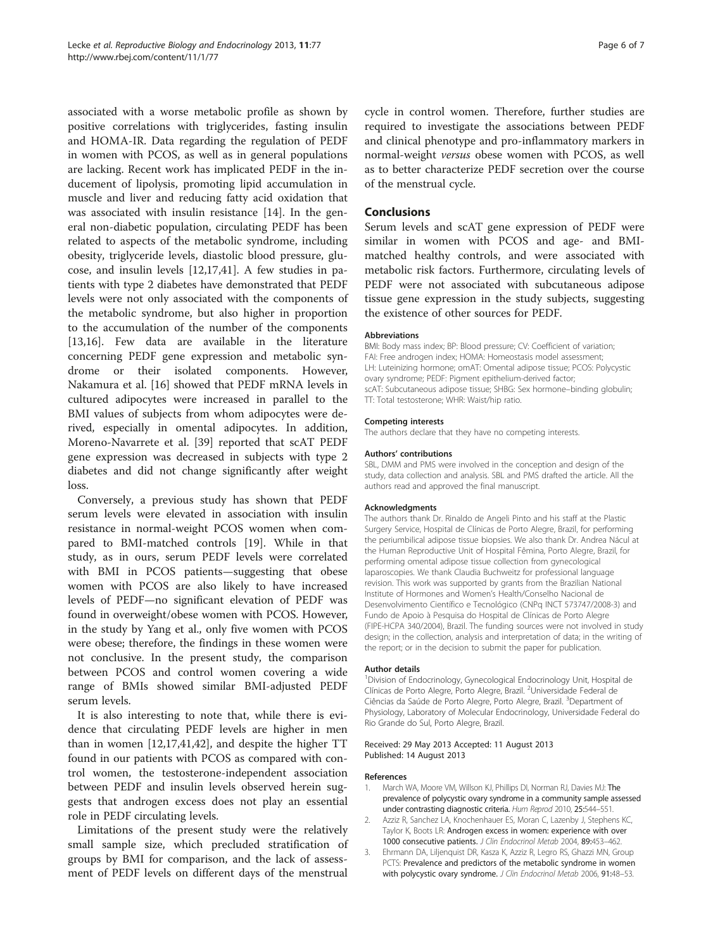<span id="page-5-0"></span>associated with a worse metabolic profile as shown by positive correlations with triglycerides, fasting insulin and HOMA-IR. Data regarding the regulation of PEDF in women with PCOS, as well as in general populations are lacking. Recent work has implicated PEDF in the inducement of lipolysis, promoting lipid accumulation in muscle and liver and reducing fatty acid oxidation that was associated with insulin resistance [\[14\]](#page-6-0). In the general non-diabetic population, circulating PEDF has been related to aspects of the metabolic syndrome, including obesity, triglyceride levels, diastolic blood pressure, glucose, and insulin levels [[12,17,41\]](#page-6-0). A few studies in patients with type 2 diabetes have demonstrated that PEDF levels were not only associated with the components of the metabolic syndrome, but also higher in proportion to the accumulation of the number of the components [[13,16\]](#page-6-0). Few data are available in the literature concerning PEDF gene expression and metabolic syndrome or their isolated components. However, Nakamura et al. [\[16\]](#page-6-0) showed that PEDF mRNA levels in cultured adipocytes were increased in parallel to the BMI values of subjects from whom adipocytes were derived, especially in omental adipocytes. In addition, Moreno-Navarrete et al. [\[39](#page-6-0)] reported that scAT PEDF gene expression was decreased in subjects with type 2 diabetes and did not change significantly after weight loss.

Conversely, a previous study has shown that PEDF serum levels were elevated in association with insulin resistance in normal-weight PCOS women when compared to BMI-matched controls [\[19\]](#page-6-0). While in that study, as in ours, serum PEDF levels were correlated with BMI in PCOS patients—suggesting that obese women with PCOS are also likely to have increased levels of PEDF—no significant elevation of PEDF was found in overweight/obese women with PCOS. However, in the study by Yang et al., only five women with PCOS were obese; therefore, the findings in these women were not conclusive. In the present study, the comparison between PCOS and control women covering a wide range of BMIs showed similar BMI-adjusted PEDF serum levels.

It is also interesting to note that, while there is evidence that circulating PEDF levels are higher in men than in women [\[12,17,41,42](#page-6-0)], and despite the higher TT found in our patients with PCOS as compared with control women, the testosterone-independent association between PEDF and insulin levels observed herein suggests that androgen excess does not play an essential role in PEDF circulating levels.

Limitations of the present study were the relatively small sample size, which precluded stratification of groups by BMI for comparison, and the lack of assessment of PEDF levels on different days of the menstrual cycle in control women. Therefore, further studies are required to investigate the associations between PEDF and clinical phenotype and pro-inflammatory markers in normal-weight versus obese women with PCOS, as well as to better characterize PEDF secretion over the course of the menstrual cycle.

# **Conclusions**

Serum levels and scAT gene expression of PEDF were similar in women with PCOS and age- and BMImatched healthy controls, and were associated with metabolic risk factors. Furthermore, circulating levels of PEDF were not associated with subcutaneous adipose tissue gene expression in the study subjects, suggesting the existence of other sources for PEDF.

#### Abbreviations

BMI: Body mass index; BP: Blood pressure; CV: Coefficient of variation; FAI: Free androgen index; HOMA: Homeostasis model assessment; LH: Luteinizing hormone; omAT: Omental adipose tissue; PCOS: Polycystic ovary syndrome; PEDF: Pigment epithelium-derived factor; scAT: Subcutaneous adipose tissue; SHBG: Sex hormone–binding globulin; TT: Total testosterone; WHR: Waist/hip ratio.

#### Competing interests

The authors declare that they have no competing interests.

#### Authors' contributions

SBL, DMM and PMS were involved in the conception and design of the study, data collection and analysis. SBL and PMS drafted the article. All the authors read and approved the final manuscript.

#### Acknowledgments

The authors thank Dr. Rinaldo de Angeli Pinto and his staff at the Plastic Surgery Service, Hospital de Clínicas de Porto Alegre, Brazil, for performing the periumbilical adipose tissue biopsies. We also thank Dr. Andrea Nácul at the Human Reproductive Unit of Hospital Fêmina, Porto Alegre, Brazil, for performing omental adipose tissue collection from gynecological laparoscopies. We thank Claudia Buchweitz for professional language revision. This work was supported by grants from the Brazilian National Institute of Hormones and Women's Health/Conselho Nacional de Desenvolvimento Científico e Tecnológico (CNPq INCT 573747/2008-3) and Fundo de Apoio à Pesquisa do Hospital de Clínicas de Porto Alegre (FIPE-HCPA 340/2004), Brazil. The funding sources were not involved in study design; in the collection, analysis and interpretation of data; in the writing of the report; or in the decision to submit the paper for publication.

#### Author details

<sup>1</sup> Division of Endocrinology, Gynecological Endocrinology Unit, Hospital de Clínicas de Porto Alegre, Porto Alegre, Brazil. <sup>2</sup>Universidade Federal de Ciências da Saúde de Porto Alegre, Porto Alegre, Brazil. <sup>3</sup>Department of Physiology, Laboratory of Molecular Endocrinology, Universidade Federal do Rio Grande do Sul, Porto Alegre, Brazil.

#### Received: 29 May 2013 Accepted: 11 August 2013 Published: 14 August 2013

#### References

- 1. March WA, Moore VM, Willson KJ, Phillips DI, Norman RJ, Davies MJ: The prevalence of polycystic ovary syndrome in a community sample assessed under contrasting diagnostic criteria. Hum Reprod 2010, 25:544–551.
- Azziz R, Sanchez LA, Knochenhauer ES, Moran C, Lazenby J, Stephens KC, Taylor K, Boots LR: Androgen excess in women: experience with over 1000 consecutive patients. J Clin Endocrinol Metab 2004, 89:453–462.
- 3. Ehrmann DA, Liljenquist DR, Kasza K, Azziz R, Legro RS, Ghazzi MN, Group PCTS: Prevalence and predictors of the metabolic syndrome in women with polycystic ovary syndrome. J Clin Endocrinol Metab 2006, 91:48-53.